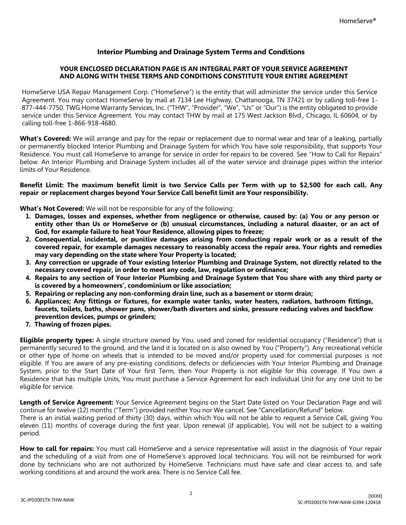# **Interior Plumbing and Drainage System Terms and Conditions**

### **YOUR ENCLOSED DECLARATION PAGE IS AN INTEGRAL PART OF YOUR SERVICE AGREEMENT AND ALONG WITH THESE TERMS AND CONDITIONS CONSTITUTE YOUR ENTIRE AGREEMENT**

HomeServe USA Repair Management Corp. ("HomeServe") is the entity that will administer the service under this Service Agreement. You may contact HomeServe by mail at 7134 Lee Highway, Chattanooga, TN 37421 or by calling toll-free 1- 877-444-7750. TWG Home Warranty Services, Inc. ("THW", "Provider", "We", "Us" or "Our") is the entity obligated to provide service under this Service Agreement. You may contact THW by mail at 175 West Jackson Blvd., Chicago, IL 60604, or by calling toll-free 1-866-918-4680.

**What's Covered:** We will arrange and pay for the repair or replacement due to normal wear and tear of a leaking, partially or permanently blocked Interior Plumbing and Drainage System for which You have sole responsibility, that supports Your Residence. You must call HomeServe to arrange for service in order for repairs to be covered. See "How to Call for Repairs" below. An Interior Plumbing and Drainage System includes all of the water service and drainage pipes within the interior limits of Your Residence.

#### Benefit Limit: The maximum benefit limit is two Service Calls per Term with up to \$2,500 for each call. Any **repair or replacement charges beyond Your Service Call benefit limit are Your responsibility.**

**What's Not Covered:** We will not be responsible for any of the following:

- 1. Damages, losses and expenses, whether from negligence or otherwise, caused by: (a) You or any person or entity other than Us or HomeServe or (b) unusual circumstances, including a natural disaster, or an act of **God, for example failure to heat Your Residence, allowing pipes to freeze;**
- 2. Consequential, incidental, or punitive damages arising from conducting repair work or as a result of the **covered repair, for example damages necessary to reasonably access the repair area. Your rights and remedies may vary depending on the state where Your Property is located;**
- **3. Any correction or upgrade of Your existing Interior Plumbing and Drainage System, not directly related to the necessary covered repair, in order to meet any code, law, regulation or ordinance;**
- 4. Repairs to any section of Your Interior Plumbing and Drainage System that You share with any third party or **is covered by a homeowners', condominium or like association;**
- **5. Repairing or replacing any non-conforming drain line, such as a basement or storm drain;**
- **6. Appliances; Any fittings or fixtures, for example water tanks, water heaters, radiators, bathroom fittings, faucets, toilets, baths, shower pans, shower/bath diverters and sinks, pressure reducing valves and backflow prevention devices, pumps or grinders;**
- **7. Thawing of frozen pipes.**

**Eligible property types:** A single structure owned by You, used and zoned for residential occupancy ("Residence") that is permanently secured to the ground, and the land it is located on is also owned by You ("Property"). Any recreational vehicle or other type of home on wheels that is intended to be moved and/or property used for commercial purposes is not eligible. If You are aware of any pre-existing conditions, defects or deficiencies with Your Interior Plumbing and Drainage System, prior to the Start Date of Your first Term, then Your Property is not eligible for this coverage. If You own a Residence that has multiple Units, You must purchase a Service Agreement for each individual Unit for any one Unit to be eligible for service.

**Length of Service Agreement:** Your Service Agreement begins on the Start Date listed on Your Declaration Page and will continue for twelve (12) months ("Term") provided neither You nor We cancel. See "Cancellation/Refund" below.

There is an initial waiting period of thirty (30) days, within which You will not be able to request a Service Call, giving You eleven (11) months of coverage during the first year. Upon renewal (if applicable), You will not be subject to a waiting period.

**How to call for repairs:** You must call HomeServe and a service representative will assist in the diagnosis of Your repair and the scheduling of a visit from one of HomeServe's approved local technicians. You will not be reimbursed for work done by technicians who are not authorized by HomeServe. Technicians must have safe and clear access to, and safe working conditions at and around the work area. There is no Service Call fee.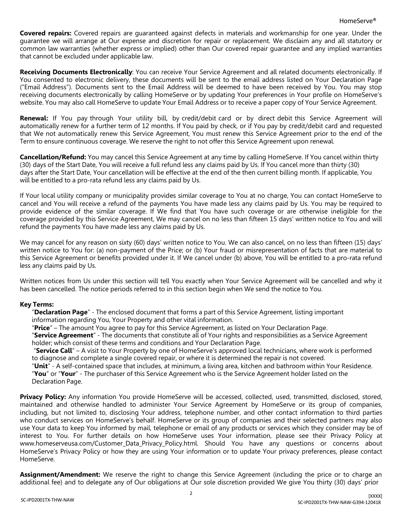**Covered repairs:** Covered repairs are guaranteed against defects in materials and workmanship for one year. Under the guarantee we will arrange at Our expense and discretion for repair or replacement. We disclaim any and all statutory or common law warranties (whether express or implied) other than Our covered repair guarantee and any implied warranties that cannot be excluded under applicable law.

**Receiving Documents Electronically**: You can receive Your Service Agreement and all related documents electronically. If You consented to electronic delivery, these documents will be sent to the email address listed on Your Declaration Page ("Email Address"). Documents sent to the Email Address will be deemed to have been received by You. You may stop receiving documents electronically by calling HomeServe or by updating Your preferences in Your profile on HomeServe's website. You may also call HomeServe to update Your Email Address or to receive a paper copy of Your Service Agreement.

**Renewal:** If You pay through Your utility bill, by credit/debit card or by direct debit this Service Agreement will automatically renew for a further term of 12 months. If You paid by check, or if You pay by credit/debit card and requested that We not automatically renew this Service Agreement, You must renew this Service Agreement prior to the end of the Term to ensure continuous coverage. We reserve the right to not offer this Service Agreement upon renewal.

**Cancellation/Refund:** You may cancel this Service Agreement at any time by calling HomeServe. If You cancel within thirty (30) days of the Start Date, You will receive a full refund less any claims paid by Us. If You cancel more than thirty (30) days after the Start Date, Your cancellation will be effective at the end of the then current billing month. If applicable, You will be entitled to a pro-rata refund less any claims paid by Us.

If Your local utility company or municipality provides similar coverage to You at no charge, You can contact HomeServe to cancel and You will receive a refund of the payments You have made less any claims paid by Us. You may be required to provide evidence of the similar coverage. If We find that You have such coverage or are otherwise ineligible for the coverage provided by this Service Agreement, We may cancel on no less than fifteen 15 days' written notice to You and will refund the payments You have made less any claims paid by Us.

We may cancel for any reason on sixty (60) days' written notice to You. We can also cancel, on no less than fifteen (15) days' written notice to You for: (a) non-payment of the Price; or (b) Your fraud or misrepresentation of facts that are material to this Service Agreement or benefits provided under it. If We cancel under (b) above, You will be entitled to a pro-rata refund less any claims paid by Us.

Written notices from Us under this section will tell You exactly when Your Service Agreement will be cancelled and why it has been cancelled. The notice periods referred to in this section begin when We send the notice to You.

## **Key Terms:**

"**Declaration Page**" - The enclosed document that forms a part of this Service Agreement, listing important information regarding You, Your Property and other vital information.

"**Price**" – The amount You agree to pay for this Service Agreement, as listed on Your Declaration Page.

"**Service Agreement**" - The documents that constitute all of Your rights and responsibilities as a Service Agreement holder; which consist of these terms and conditions and Your Declaration Page.

"**Service Call**" – A visit to Your Property by one of HomeServe's approved local technicians, where work is performed to diagnose and complete a single covered repair, or where it is determined the repair is not covered.

"**Unit**" - A self-contained space that includes, at minimum, a living area, kitchen and bathroom within Your Residence. "**You**" or "**Your**" - The purchaser of this Service Agreement who is the Service Agreement holder listed on the Declaration Page.

**Privacy Policy:** Any information You provide HomeServe will be accessed, collected, used, transmitted, disclosed, stored, maintained and otherwise handled to administer Your Service Agreement by HomeServe or its group of companies, including, but not limited to, disclosing Your address, telephone number, and other contact information to third parties who conduct services on HomeServe's behalf. HomeServe or its group of companies and their selected partners may also use Your data to keep You informed by mail, telephone or email of any products or services which they consider may be of interest to You. For further details on how HomeServe uses Your information, please see their Privacy Policy a[t](http://www.homeserveusa.com/Customer_Data_Privacy_Policy.html) [www.homeserveusa.com/Customer\\_Data\\_Privacy\\_Policy.html.](http://www.homeserveusa.com/Customer_Data_Privacy_Policy.html) Should You have any questions or concerns about HomeServe's Privacy Policy or how they are using Your information or to update Your privacy preferences, please contact HomeServe.

**Assignment/Amendment:** We reserve the right to change this Service Agreement (including the price or to charge an additional fee) and to delegate any of Our obligations at Our sole discretion provided We give You thirty (30) days' prior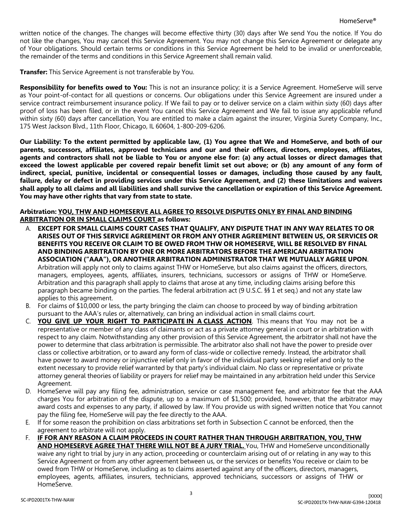written notice of the changes. The changes will become effective thirty (30) days after We send You the notice. If You do not like the changes, You may cancel this Service Agreement. You may not change this Service Agreement or delegate any of Your obligations. Should certain terms or conditions in this Service Agreement be held to be invalid or unenforceable, the remainder of the terms and conditions in this Service Agreement shall remain valid.

**Transfer:** This Service Agreement is not transferable by You.

**Responsibility for benefits owed to You:** This is not an insurance policy; it is a Service Agreement. HomeServe will serve as Your point-of-contact for all questions or concerns. Our obligations under this Service Agreement are insured under a service contract reimbursement insurance policy. If We fail to pay or to deliver service on a claim within sixty (60) days after proof of loss has been filed, or in the event You cancel this Service Agreement and We fail to issue any applicable refund within sixty (60) days after cancellation, You are entitled to make a claim against the insurer, Virginia Surety Company, Inc., 175 West Jackson Blvd., 11th Floor, Chicago, IL 60604, 1-800-209-6206.

Our Liability: To the extent permitted by applicable law, (1) You agree that We and HomeServe, and both of our **parents, successors, affiliates, approved technicians and our and their officers, directors, employees, affiliates,** agents and contractors shall not be liable to You or anyone else for: (a) any actual losses or direct damages that exceed the lowest applicable per covered repair benefit limit set out above; or (b) any amount of any form of **indirect, special, punitive, incidental or consequential losses or damages, including those caused by any fault,** failure, delay or defect in providing services under this Service Agreement, and (2) these limitations and waivers shall apply to all claims and all liabilities and shall survive the cancellation or expiration of this Service Agreement. **You may have other rights that vary from state to state.**

### **Arbitration: YOU, THW AND HOMESERVE ALL AGREE TO RESOLVE DISPUTES ONLY BY FINAL AND BINDING ARBITRATION OR IN SMALL CLAIMS COURT as follows:**

- A. **EXCEPT FOR SMALL CLAIMS COURT CASES THAT QUALIFY, ANY DISPUTE THAT IN ANY WAY RELATES TO OR ARISES OUT OF THIS SERVICE AGREEMENT OR FROM ANY OTHER AGREEMENT BETWEEN US, OR SERVICES OR BENEFITS YOU RECEIVE OR CLAIM TO BE OWED FROM THW OR HOMESERVE, WILL BE RESOLVED BY FINAL AND BINDING ARBITRATION BY ONE OR MORE ARBITRATORS BEFORE THE AMERICAN ARBITRATION ASSOCIATION ("AAA"), OR ANOTHER ARBITRATION ADMINISTRATOR THAT WE MUTUALLY AGREE UPON**. Arbitration will apply not only to claims against THW or HomeServe, but also claims against the officers, directors, managers, employees, agents, affiliates, insurers, technicians, successors or assigns of THW or HomeServe. Arbitration and this paragraph shall apply to claims that arose at any time, including claims arising before this paragraph became binding on the parties. The federal arbitration act (9 U.S.C. §§ 1 et seq.) and not any state law applies to this agreement.
- B. For claims of \$10,000 or less, the party bringing the claim can choose to proceed by way of binding arbitration pursuant to the AAA's rules or, alternatively, can bring an individual action in small claims court.
- C. **YOU GIVE UP YOUR RIGHT TO PARTICIPATE IN A CLASS ACTION**. This means that You may not be a representative or member of any class of claimants or act as a private attorney general in court or in arbitration with respect to any claim. Notwithstanding any other provision of this Service Agreement, the arbitrator shall not have the power to determine that class arbitration is permissible. The arbitrator also shall not have the power to preside over class or collective arbitration, or to award any form of class-wide or collective remedy. Instead, the arbitrator shall have power to award money or injunctive relief only in favor of the individual party seeking relief and only to the extent necessary to provide relief warranted by that party's individual claim. No class or representative or private attorney general theories of liability or prayers for relief may be maintained in any arbitration held under this Service Agreement.
- D. HomeServe will pay any filing fee, administration, service or case management fee, and arbitrator fee that the AAA charges You for arbitration of the dispute, up to a maximum of \$1,500; provided, however, that the arbitrator may award costs and expenses to any party, if allowed by law. If You provide us with signed written notice that You cannot pay the filing fee, HomeServe will pay the fee directly to the AAA.
- E. If for some reason the prohibition on class arbitrations set forth in Subsection C cannot be enforced, then the agreement to arbitrate will not apply.
- F. **IF FOR ANY REASON A CLAIM PROCEEDS IN COURT RATHER THAN THROUGH ARBITRATION, YOU, THW AND HOMESERVE AGREE THAT THERE WILL NOT BE A JURY TRIAL.** You, THW and HomeServe unconditionally waive any right to trial by jury in any action, proceeding or counterclaim arising out of or relating in any way to this Service Agreement or from any other agreement between us, or the services or benefits You receive or claim to be owed from THW or HomeServe, including as to claims asserted against any of the officers, directors, managers, employees, agents, affiliates, insurers, technicians, approved technicians, successors or assigns of THW or HomeServe.